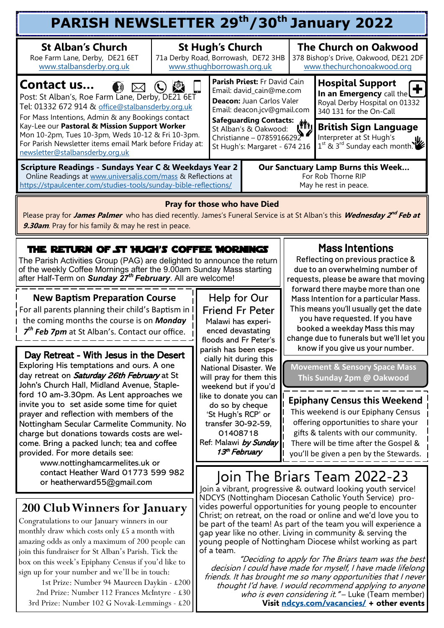| PARISH NEWSLETTER 29th/30th January 2022                                                                                                                                                                                                                                                                                                                                                                                                                                                                |                                     |                                                                                                                                                                                                                                                                                                                                                                                                                        |                                                                                                                      |                                                                                                                                                                                                                                                                                                                                                                                                                       |                                                                                                                  |  |  |  |
|---------------------------------------------------------------------------------------------------------------------------------------------------------------------------------------------------------------------------------------------------------------------------------------------------------------------------------------------------------------------------------------------------------------------------------------------------------------------------------------------------------|-------------------------------------|------------------------------------------------------------------------------------------------------------------------------------------------------------------------------------------------------------------------------------------------------------------------------------------------------------------------------------------------------------------------------------------------------------------------|----------------------------------------------------------------------------------------------------------------------|-----------------------------------------------------------------------------------------------------------------------------------------------------------------------------------------------------------------------------------------------------------------------------------------------------------------------------------------------------------------------------------------------------------------------|------------------------------------------------------------------------------------------------------------------|--|--|--|
| <b>St Alban's Church</b><br>Roe Farm Lane, Derby, DE21 6ET<br>www.stalbansderby.org.uk                                                                                                                                                                                                                                                                                                                                                                                                                  | 71a Derby Road, Borrowash, DE72 3HB | <b>St Hugh's Church</b><br>www.sthughborrowash.org.uk                                                                                                                                                                                                                                                                                                                                                                  |                                                                                                                      |                                                                                                                                                                                                                                                                                                                                                                                                                       | <b>The Church on Oakwood</b><br>378 Bishop's Drive, Oakwood, DE21 2DF<br>www.thechurchonoakwood.org              |  |  |  |
| Contact us<br>$\ket{v}$<br>Post: St Alban's, Roe Farm Lane, Derby, DE21 6ET<br>Tel: 01332 672 914 & office@stalbansderby.org.uk<br>For Mass Intentions, Admin & any Bookings contact                                                                                                                                                                                                                                                                                                                    |                                     |                                                                                                                                                                                                                                                                                                                                                                                                                        | Parish Priest: Fr David Cain<br>Email: david cain@me.com<br>Deacon: Juan Carlos Valer<br>Email: deacon.jcv@gmail.com |                                                                                                                                                                                                                                                                                                                                                                                                                       | <b>Hospital Support</b><br>In an Emergency call the<br>Royal Derby Hospital on 01332<br>340 131 for the On-Call  |  |  |  |
| Kay-Lee our Pastoral & Mission Support Worker<br>Mon 10-2pm, Tues 10-3pm, Weds 10-12 & Fri 10-3pm.<br>For Parish Newsletter items email Mark before Friday at:<br>newsletter@stalbansderby.org.uk                                                                                                                                                                                                                                                                                                       |                                     |                                                                                                                                                                                                                                                                                                                                                                                                                        | Safeguarding Contacts: (1)<br>St Alban's & Oakwood:<br>Christianne - 07859166292<br>St Hugh's: Margaret - 674 216    |                                                                                                                                                                                                                                                                                                                                                                                                                       | <b>British Sign Language</b><br>Interpreter at St Hugh's<br>1 <sup>st</sup> & 3 <sup>rd</sup> Sunday each month. |  |  |  |
| Scripture Readings - Sundays Year C & Weekdays Year 2<br>Online Readings at www.universalis.com/mass & Reflections at<br>https://stpaulcenter.com/studies-tools/sunday-bible-reflections/                                                                                                                                                                                                                                                                                                               |                                     | Our Sanctuary Lamp Burns this Week<br>For Rob Thorne RIP<br>May he rest in peace.                                                                                                                                                                                                                                                                                                                                      |                                                                                                                      |                                                                                                                                                                                                                                                                                                                                                                                                                       |                                                                                                                  |  |  |  |
| Please pray for James Palmer who has died recently. James's Funeral Service is at St Alban's this Wednesday 2 <sup>nd</sup> Feb at<br>9.30am. Pray for his family & may he rest in peace.                                                                                                                                                                                                                                                                                                               |                                     | <b>Pray for those who have Died</b>                                                                                                                                                                                                                                                                                                                                                                                    |                                                                                                                      |                                                                                                                                                                                                                                                                                                                                                                                                                       |                                                                                                                  |  |  |  |
| THE RETURN OF ST HUGH'S COFFEE MORNINGS<br>The Parish Activities Group (PAG) are delighted to announce the return<br>of the weekly Coffee Mornings after the 9.00am Sunday Mass starting<br>after Half-Term on Sunday 27 <sup>th</sup> February. All are welcome!                                                                                                                                                                                                                                       |                                     |                                                                                                                                                                                                                                                                                                                                                                                                                        |                                                                                                                      | <b>Mass Intentions</b><br>Reflecting on previous practice &<br>due to an overwhelming number of<br>requests, please be aware that moving<br>forward there maybe more than one<br>Mass Intention for a particular Mass.<br>This means you'll usually get the date<br>you have requested. If you have<br>booked a weekday Mass this may<br>change due to funerals but we'll let you<br>know if you give us your number. |                                                                                                                  |  |  |  |
| <b>New Baptism Preparation Course</b><br>For all parents planning their child's Baptism in<br>the coming months the course is on Monday<br>7 <sup>th</sup> Feb 7pm at St Alban's. Contact our office.                                                                                                                                                                                                                                                                                                   |                                     | Help for Our<br><b>Friend Fr Peter</b><br>Malawi has experi-<br>enced devastating<br>floods and Fr Peter's<br>parish has been espe-                                                                                                                                                                                                                                                                                    |                                                                                                                      |                                                                                                                                                                                                                                                                                                                                                                                                                       |                                                                                                                  |  |  |  |
| Day Retreat - With Jesus in the Desert<br>Exploring His temptations and ours. A one<br>day retreat on Saturday 26th February at St<br>John's Church Hall, Midland Avenue, Staple-<br>ford 10 am-3.30pm. As Lent approaches we<br>invite you to set aside some time for quiet<br>prayer and reflection with members of the<br>Nottingham Secular Carmelite Community. No<br>charge but donations towards costs are wel-<br>come. Bring a packed lunch; tea and coffee<br>provided. For more details see: |                                     | cially hit during this<br>National Disaster. We<br>will pray for them this<br>weekend but if you'd<br>like to donate you can<br>do so by cheque<br>'St Hugh's RCP' or<br>transfer 30-92-59,<br>01408718<br>Ref: Malawi by Sunday<br>13 <sup>th</sup> February                                                                                                                                                          |                                                                                                                      | <b>Movement &amp; Sensory Space Mass</b><br>This Sunday 2pm @ Oakwood<br><b>Epiphany Census this Weekend</b><br>This weekend is our Epiphany Census<br>offering opportunities to share your<br>gifts & talents with our community.<br>There will be time after the Gospel &<br>you'll be given a pen by the Stewards.                                                                                                 |                                                                                                                  |  |  |  |
| www.nottinghamcarmelites.uk or<br>contact Heather Ward 01773 599 982<br>or heatherward55@gmail.com<br><b>200 Club Winners for January</b><br>Congratulations to our January winners in our<br>monthly draw which costs only £5 a month with                                                                                                                                                                                                                                                             |                                     | Join The Briars Team 2022-23<br>Join a vibrant, progressive & outward looking youth service!<br>NDCYS (Nottingham Diocesan Catholic Youth Service) pro-<br>vides powerful opportunities for young people to encounter<br>Christ; on retreat, on the road or online and we'd love you to<br>be part of the team! As part of the team you will experience a<br>gap year like no other. Living in community & serving the |                                                                                                                      |                                                                                                                                                                                                                                                                                                                                                                                                                       |                                                                                                                  |  |  |  |
| amazing odds as only a maximum of 200 people can<br>join this fundraiser for St Alban's Parish. Tick the<br>box on this week's Epiphany Census if you'd like to<br>sign up for your number and we'll be in touch:<br>1st Prize: Number 94 Maureen Daykin - £200<br>2nd Prize: Number 112 Frances McIntyre - £30                                                                                                                                                                                         |                                     | young people of Nottingham Diocese whilst working as part<br>of a team.<br>"Deciding to apply for The Briars team was the best<br>decision I could have made for myself, I have made lifelong<br>friends. It has brought me so many opportunities that I never<br>thought I'd have. I would recommend applying to anyone<br>who is even considering it." - Luke (Team member)                                          |                                                                                                                      |                                                                                                                                                                                                                                                                                                                                                                                                                       |                                                                                                                  |  |  |  |

3rd Prize: Number 102 G Novak-Lemmings - £20

**Visit [ndcys.com/vacancies/](mailto:ndcys.com/vacancies/) + other events**